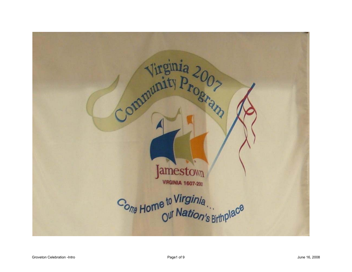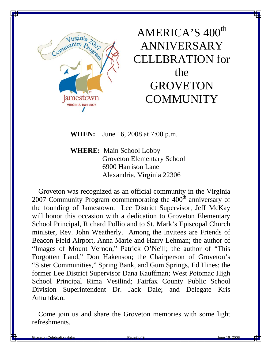

AMERICA'S 400<sup>th</sup> ANNIVERSARY CELEBRATION for the **GROVETON COMMUNITY** 

**WHEN:** June 16, 2008 at 7:00 p.m.

**WHERE:** Main School Lobby Groveton Elementary School 6900 Harrison Lane Alexandria, Virginia 22306

 Groveton was recognized as an official community in the Virginia 2007 Community Program commemorating the  $400<sup>th</sup>$  anniversary of the founding of Jamestown. Lee District Supervisor, Jeff McKay will honor this occasion with a dedication to Groveton Elementary School Principal, Richard Pollio and to St. Mark's Episcopal Church minister, Rev. John Weatherly. Among the invitees are Friends of Beacon Field Airport, Anna Marie and Harry Lehman; the author of "Images of Mount Vernon," Patrick O'Neill; the author of "This Forgotten Land," Don Hakenson; the Chairperson of Groveton's "Sister Communities," Spring Bank, and Gum Springs, Ed Hines; the former Lee District Supervisor Dana Kauffman; West Potomac High School Principal Rima Vesilind; Fairfax County Public School Division Superintendent Dr. Jack Dale; and Delegate Kris Amundson.

 Come join us and share the Groveton memories with some light refreshments.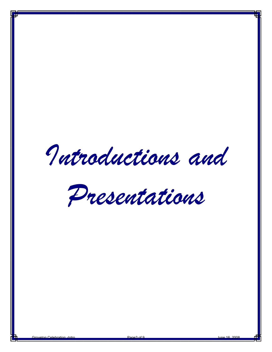*Introductions and* 

*Presentations*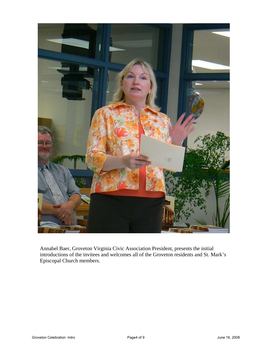

Annabel Baer, Groveton Virginia Civic Association President, presents the initial introductions of the invitees and welcomes all of the Groveton residents and St. Mark's Episcopal Church members.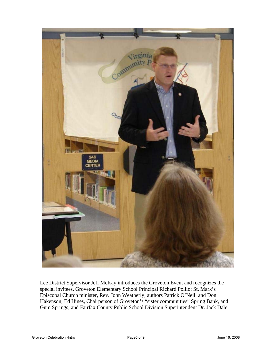

Lee District Supervisor Jeff McKay introduces the Groveton Event and recognizes the special invitees, Groveton Elementary School Principal Richard Pollio; St. Mark's Episcopal Church minister, Rev. John Weatherly; authors Patrick O'Neill and Don Hakenson; Ed Hines, Chairperson of Groveton's "sister communities" Spring Bank, and Gum Springs; and Fairfax County Public School Division Superintendent Dr. Jack Dale.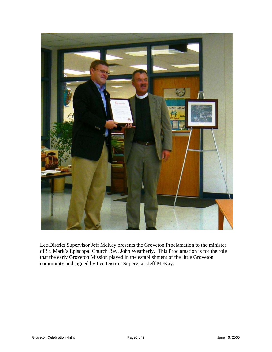

Lee District Supervisor Jeff McKay presents the Groveton Proclamation to the minister of St. Mark's Episcopal Church Rev. John Weatherly. This Proclamation is for the role that the early Groveton Mission played in the establishment of the little Groveton community and signed by Lee District Supervisor Jeff McKay.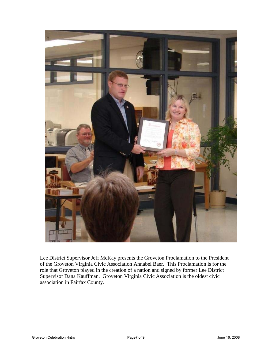

Lee District Supervisor Jeff McKay presents the Groveton Proclamation to the President of the Groveton Virginia Civic Association Annabel Baer. This Proclamation is for the role that Groveton played in the creation of a nation and signed by former Lee District Supervisor Dana Kauffman. Groveton Virginia Civic Association is the oldest civic association in Fairfax County.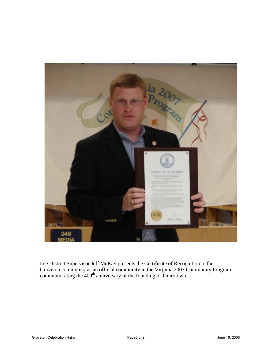

Lee District Supervisor Jeff McKay presents the Certificate of Recognition to the Groveton community as an official community in the Virginia 2007 Community Program commemorating the  $400<sup>th</sup>$  anniversary of the founding of Jamestown.